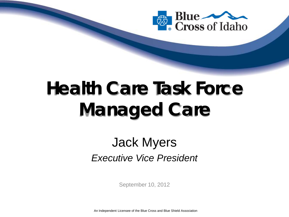

# **Health Care Task Force Managed Care**

#### Jack Myers *Executive Vice President*

September 10, 2012

An Independent Licensee of the Blue Cross and Blue Shield Association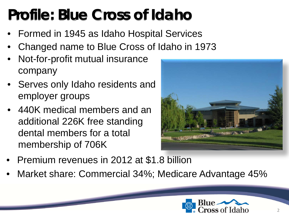## **Profile: Blue Cross of Idaho**

- Formed in 1945 as Idaho Hospital Services
- Changed name to Blue Cross of Idaho in 1973
- Not-for-profit mutual insurance company
- Serves only Idaho residents and employer groups
- 440K medical members and an additional 226K free standing dental members for a total membership of 706K



- Premium revenues in 2012 at \$1.8 billion
- Market share: Commercial 34%; Medicare Advantage 45%

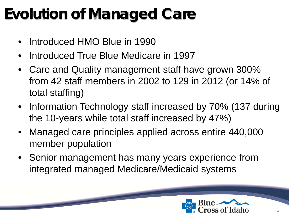### **Evolution of Managed Care**

- Introduced HMO Blue in 1990
- Introduced True Blue Medicare in 1997
- Care and Quality management staff have grown 300% from 42 staff members in 2002 to 129 in 2012 (or 14% of total staffing)
- Information Technology staff increased by 70% (137 during the 10-years while total staff increased by 47%)
- Managed care principles applied across entire 440,000 member population
- Senior management has many years experience from integrated managed Medicare/Medicaid systems

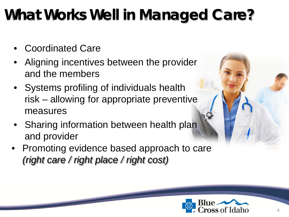## **What Works Well in Managed Care?**

- Coordinated Care
- Aligning incentives between the provider and the members
- Systems profiling of individuals health risk – allowing for appropriate preventive measures
- Sharing information between health plan and provider
- Promoting evidence based approach to care *(right care / right place / right cost)*

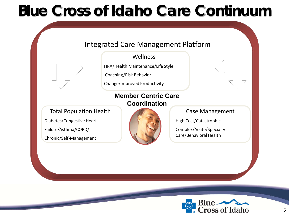#### **Blue Cross of Idaho Care Continuum**

#### Integrated Care Management Platform

#### **Wellness**

HRA/Health Maintenance/Life Style

Coaching/Risk Behavior

Change/Improved Productivity

#### **Member Centric Care Coordination**

Total Population Health Diabetes/Congestive Heart Failure/Asthma/COPD/ Chronic/Self-Management



#### Case Management

High Cost/Catastrophic

Complex/Acute/Specialty Care/Behavioral Health

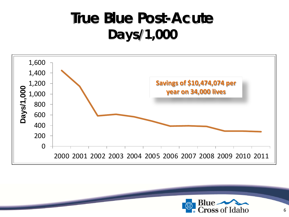#### **True Blue Post-Acute Days/1,000**



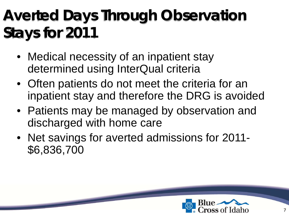## **Averted Days Through Observation Stays for 2011**

- Medical necessity of an inpatient stay determined using InterQual criteria
- Often patients do not meet the criteria for an inpatient stay and therefore the DRG is avoided
- Patients may be managed by observation and discharged with home care
- Net savings for averted admissions for 2011- \$6,836,700

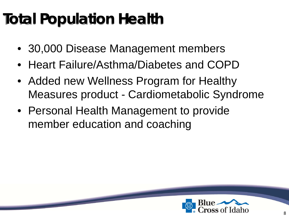## **Total Population Health**

- 30,000 Disease Management members
- Heart Failure/Asthma/Diabetes and COPD
- Added new Wellness Program for Healthy Measures product - Cardiometabolic Syndrome
- Personal Health Management to provide member education and coaching

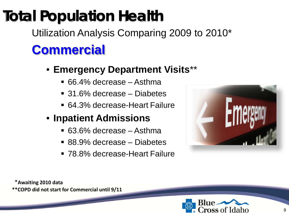## **Total Population Health**

Utilization Analysis Comparing 2009 to 2010\* **Commercial**

- **Emergency Department Visits**\*\*
	- 66.4% decrease Asthma
	- 31.6% decrease Diabetes
	- 64.3% decrease-Heart Failure
- **Inpatient Admissions**
	- 63.6% decrease Asthma
	- 88.9% decrease Diabetes
	- 78.8% decrease-Heart Failure



**\*\*COPD did not start for Commercial until 9/11** \***Awaiting 2010 data**

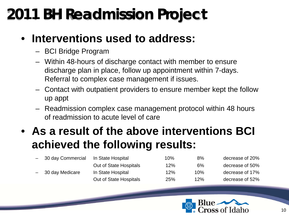### **2011 BH Readmission Project**

#### • **Interventions used to address:**

- BCI Bridge Program
- Within 48-hours of discharge contact with member to ensure discharge plan in place, follow up appointment within 7-days. Referral to complex case management if issues.
- Contact with outpatient providers to ensure member kept the follow up appt
- Readmission complex case management protocol within 48 hours of readmission to acute level of care

#### • **As a result of the above interventions BCI achieved the following results:**

| - 30 day Commercial | In State Hospital      | 10% | 8%    | decrease of 20% |
|---------------------|------------------------|-----|-------|-----------------|
|                     | Out of State Hospitals | 12% | $6\%$ | decrease of 50% |
| - 30 day Medicare   | In State Hospital      | 12% | 10%   | decrease of 17% |
|                     | Out of State Hospitals | 25% | 12%   | decrease of 52% |

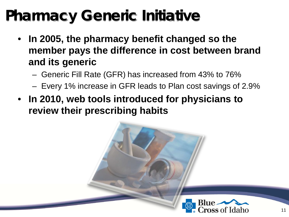#### **Pharmacy Generic Initiative**

- **In 2005, the pharmacy benefit changed so the member pays the difference in cost between brand and its generic**
	- Generic Fill Rate (GFR) has increased from 43% to 76%
	- Every 1% increase in GFR leads to Plan cost savings of 2.9%
- **In 2010, web tools introduced for physicians to review their prescribing habits**

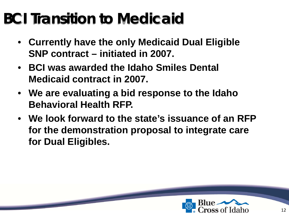#### **BCI Transition to Medicaid**

- **Currently have the only Medicaid Dual Eligible SNP contract – initiated in 2007.**
- **BCI was awarded the Idaho Smiles Dental Medicaid contract in 2007.**
- **We are evaluating a bid response to the Idaho Behavioral Health RFP.**
- **We look forward to the state's issuance of an RFP for the demonstration proposal to integrate care for Dual Eligibles.**

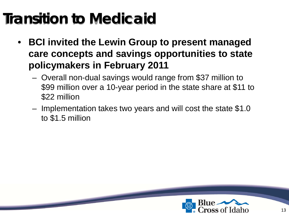#### **Transition to Medicaid**

- **BCI invited the Lewin Group to present managed care concepts and savings opportunities to state policymakers in February 2011**
	- Overall non-dual savings would range from \$37 million to \$99 million over a 10-year period in the state share at \$11 to \$22 million
	- Implementation takes two years and will cost the state \$1.0 to \$1.5 million

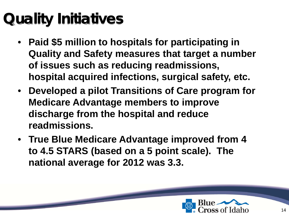## **Quality Initiatives**

- **Paid \$5 million to hospitals for participating in Quality and Safety measures that target a number of issues such as reducing readmissions, hospital acquired infections, surgical safety, etc.**
- **Developed a pilot Transitions of Care program for Medicare Advantage members to improve discharge from the hospital and reduce readmissions.**
- **True Blue Medicare Advantage improved from 4 to 4.5 STARS (based on a 5 point scale). The national average for 2012 was 3.3.**